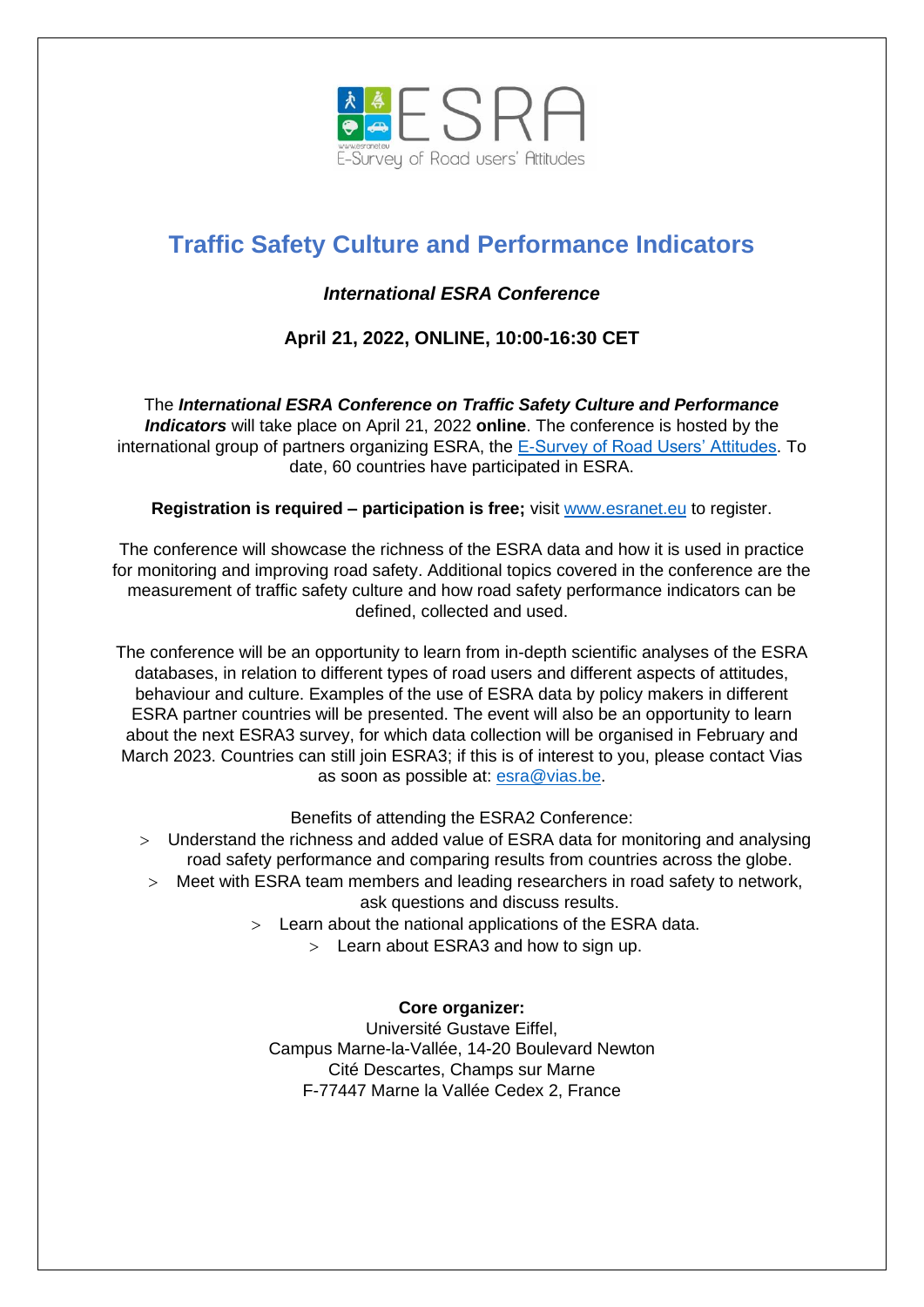

## **Traffic Safety Culture and Performance Indicators**

#### *International ESRA Conference*

### **April 21, 2022, ONLINE, 10:00-16:30 CET**

The *International ESRA Conference on Traffic Safety Culture and Performance Indicators* will take place on April 21, 2022 **online**. The conference is hosted by the international group of partners organizing ESRA, the **E-Survey of Road Users' Attitudes**. To date, 60 countries have participated in ESRA.

**Registration is required – participation is free;** visit [www.esranet.eu](http://www.esranet.eu/) to register.

The conference will showcase the richness of the ESRA data and how it is used in practice for monitoring and improving road safety. Additional topics covered in the conference are the measurement of traffic safety culture and how road safety performance indicators can be defined, collected and used.

The conference will be an opportunity to learn from in-depth scientific analyses of the ESRA databases, in relation to different types of road users and different aspects of attitudes, behaviour and culture. Examples of the use of ESRA data by policy makers in different ESRA partner countries will be presented. The event will also be an opportunity to learn about the next ESRA3 survey, for which data collection will be organised in February and March 2023. Countries can still join ESRA3; if this is of interest to you, please contact Vias as soon as possible at: [esra@vias.be.](mailto:esra@vias.be)

Benefits of attending the ESRA2 Conference:

- Understand the richness and added value of ESRA data for monitoring and analysing road safety performance and comparing results from countries across the globe.
- Meet with ESRA team members and leading researchers in road safety to network, ask questions and discuss results.
	- Learn about the national applications of the ESRA data.
		- $>$  Learn about ESRA3 and how to sign up.

#### **Core organizer:**

Université Gustave Eiffel, Campus Marne-la-Vallée, 14-20 Boulevard Newton Cité Descartes, Champs sur Marne F-77447 Marne la Vallée Cedex 2, France